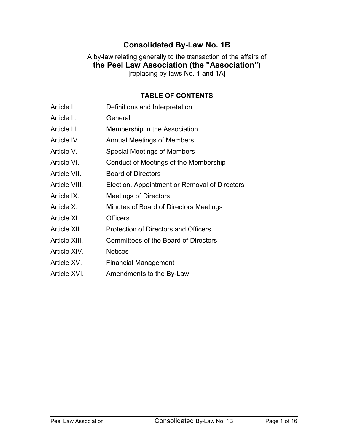# Consolidated By-Law No. 1B

### A by-law relating generally to the transaction of the affairs of the Peel Law Association (the "Association") [replacing by-laws No. 1 and 1A]

#### TABLE OF CONTENTS

| Article I.    | Definitions and Interpretation                |
|---------------|-----------------------------------------------|
| Article II.   | General                                       |
| Article III.  | Membership in the Association                 |
| Article IV.   | <b>Annual Meetings of Members</b>             |
| Article V.    | Special Meetings of Members                   |
| Article VI.   | Conduct of Meetings of the Membership         |
| Article VII.  | <b>Board of Directors</b>                     |
| Article VIII. | Election, Appointment or Removal of Directors |
| Article IX.   | <b>Meetings of Directors</b>                  |
| Article X.    | Minutes of Board of Directors Meetings        |
| Article XI.   | <b>Officers</b>                               |
| Article XII.  | <b>Protection of Directors and Officers</b>   |
| Article XIII. | <b>Committees of the Board of Directors</b>   |
| Article XIV.  | <b>Notices</b>                                |
| Article XV.   | <b>Financial Management</b>                   |
| Article XVI.  | Amendments to the By-Law                      |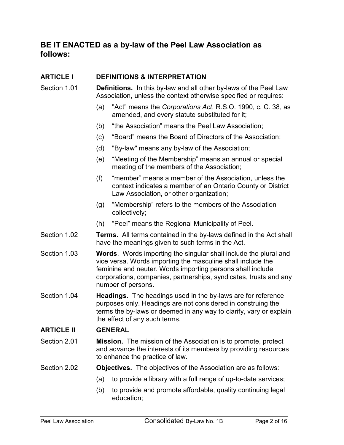## BE IT ENACTED as a by-law of the Peel Law Association as follows:

#### ARTICLE I DEFINITIONS & INTERPRETATION

- Section 1.01 Definitions. In this by-law and all other by-laws of the Peel Law Association, unless the context otherwise specified or requires:
	- (a) "Act" means the Corporations Act, R.S.O. 1990, c. C. 38, as amended, and every statute substituted for it;
	- (b) "the Association" means the Peel Law Association;
	- (c) "Board" means the Board of Directors of the Association;
	- (d) "By-law" means any by-law of the Association;
	- (e) "Meeting of the Membership" means an annual or special meeting of the members of the Association;
	- (f) "member" means a member of the Association, unless the context indicates a member of an Ontario County or District Law Association, or other organization;
	- (g) "Membership" refers to the members of the Association collectively;
	- (h) "Peel" means the Regional Municipality of Peel.
- Section 1.02 Terms. All terms contained in the by-laws defined in the Act shall have the meanings given to such terms in the Act.
- Section 1.03 Words. Words importing the singular shall include the plural and vice versa. Words importing the masculine shall include the feminine and neuter. Words importing persons shall include corporations, companies, partnerships, syndicates, trusts and any number of persons.
- Section 1.04 **Headings.** The headings used in the by-laws are for reference purposes only. Headings are not considered in construing the terms the by-laws or deemed in any way to clarify, vary or explain the effect of any such terms.

## ARTICLE II GENERAL

Section 2.01 **Mission.** The mission of the Association is to promote, protect and advance the interests of its members by providing resources to enhance the practice of law.

#### Section 2.02 **Objectives.** The objectives of the Association are as follows:

- (a) to provide a library with a full range of up-to-date services;
- (b) to provide and promote affordable, quality continuing legal education;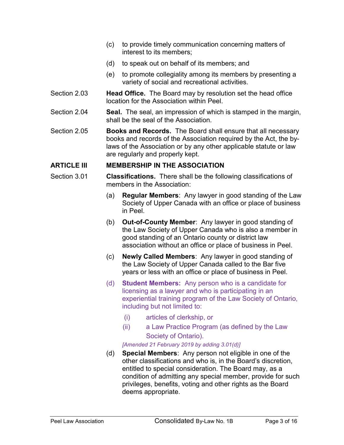- (c) to provide timely communication concerning matters of interest to its members;
- (d) to speak out on behalf of its members; and
- (e) to promote collegiality among its members by presenting a variety of social and recreational activities.
- Section 2.03 Head Office. The Board may by resolution set the head office location for the Association within Peel.
- Section 2.04 Seal. The seal, an impression of which is stamped in the margin, shall be the seal of the Association.
- Section 2.05 **Books and Records.** The Board shall ensure that all necessary books and records of the Association required by the Act, the bylaws of the Association or by any other applicable statute or law are regularly and properly kept.

#### ARTICLE III MEMBERSHIP IN THE ASSOCIATION

- Section 3.01 Classifications. There shall be the following classifications of members in the Association:
	- (a) Regular Members: Any lawyer in good standing of the Law Society of Upper Canada with an office or place of business in Peel.
	- (b) Out-of-County Member: Any lawyer in good standing of the Law Society of Upper Canada who is also a member in good standing of an Ontario county or district law association without an office or place of business in Peel.
	- (c) Newly Called Members: Any lawyer in good standing of the Law Society of Upper Canada called to the Bar five years or less with an office or place of business in Peel.
	- (d) Student Members: Any person who is a candidate for licensing as a lawyer and who is participating in an experiential training program of the Law Society of Ontario, including but not limited to:
		- (i) articles of clerkship, or
		- (ii) a Law Practice Program (as defined by the Law Society of Ontario).

[Amended 21 February 2019 by adding 3.01(d)]

(d) Special Members: Any person not eligible in one of the other classifications and who is, in the Board's discretion, entitled to special consideration. The Board may, as a condition of admitting any special member, provide for such privileges, benefits, voting and other rights as the Board deems appropriate.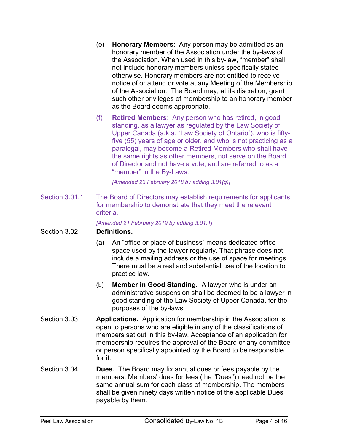- (e) Honorary Members: Any person may be admitted as an honorary member of the Association under the by-laws of the Association. When used in this by-law, "member" shall not include honorary members unless specifically stated otherwise. Honorary members are not entitled to receive notice of or attend or vote at any Meeting of the Membership of the Association. The Board may, at its discretion, grant such other privileges of membership to an honorary member as the Board deems appropriate.
- (f) Retired Members: Any person who has retired, in good standing, as a lawyer as regulated by the Law Society of Upper Canada (a.k.a. "Law Society of Ontario"), who is fiftyfive (55) years of age or older, and who is not practicing as a paralegal, may become a Retired Members who shall have the same rights as other members, not serve on the Board of Director and not have a vote, and are referred to as a "member" in the By-Laws.

[Amended 23 February 2018 by adding 3.01(g)]

Section 3.01.1 The Board of Directors may establish requirements for applicants for membership to demonstrate that they meet the relevant criteria.

[Amended 21 February 2019 by adding 3.01.1]

#### Section 3.02 Definitions.

- (a) An "office or place of business" means dedicated office space used by the lawyer regularly. That phrase does not include a mailing address or the use of space for meetings. There must be a real and substantial use of the location to practice law.
- (b) Member in Good Standing. A lawyer who is under an administrative suspension shall be deemed to be a lawyer in good standing of the Law Society of Upper Canada, for the purposes of the by-laws.
- Section 3.03 **Applications.** Application for membership in the Association is open to persons who are eligible in any of the classifications of members set out in this by-law. Acceptance of an application for membership requires the approval of the Board or any committee or person specifically appointed by the Board to be responsible for it.
- Section 3.04 **Dues.** The Board may fix annual dues or fees payable by the members. Members' dues for fees (the "Dues") need not be the same annual sum for each class of membership. The members shall be given ninety days written notice of the applicable Dues payable by them.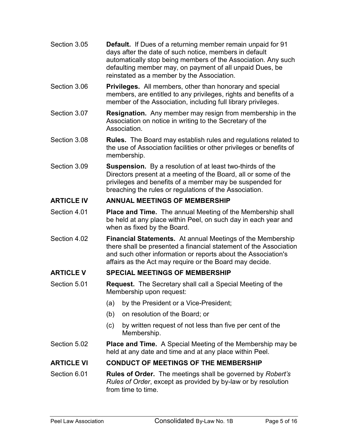- Section 3.05 **Default.** If Dues of a returning member remain unpaid for 91 days after the date of such notice, members in default automatically stop being members of the Association. Any such defaulting member may, on payment of all unpaid Dues, be reinstated as a member by the Association.
- Section 3.06 Privileges. All members, other than honorary and special members, are entitled to any privileges, rights and benefits of a member of the Association, including full library privileges.
- Section 3.07 **Resignation.** Any member may resign from membership in the Association on notice in writing to the Secretary of the Association.
- Section 3.08 **Rules.** The Board may establish rules and regulations related to the use of Association facilities or other privileges or benefits of membership.
- Section 3.09 **Suspension.** By a resolution of at least two-thirds of the Directors present at a meeting of the Board, all or some of the privileges and benefits of a member may be suspended for breaching the rules or regulations of the Association.

## ARTICLE IV ANNUAL MEETINGS OF MEMBERSHIP

- Section 4.01 **Place and Time.** The annual Meeting of the Membership shall be held at any place within Peel, on such day in each year and when as fixed by the Board.
- Section 4.02 **Financial Statements.** At annual Meetings of the Membership there shall be presented a financial statement of the Association and such other information or reports about the Association's affairs as the Act may require or the Board may decide.

## ARTICLE V SPECIAL MEETINGS OF MEMBERSHIP

- Section 5.01 **Request.** The Secretary shall call a Special Meeting of the Membership upon request:
	- (a) by the President or a Vice-President;
	- (b) on resolution of the Board; or
	- (c) by written request of not less than five per cent of the Membership.
- Section 5.02 **Place and Time.** A Special Meeting of the Membership may be held at any date and time and at any place within Peel.

#### ARTICLE VI CONDUCT OF MEETINGS OF THE MEMBERSHIP

Section 6.01 **Rules of Order.** The meetings shall be governed by Robert's Rules of Order, except as provided by by-law or by resolution from time to time.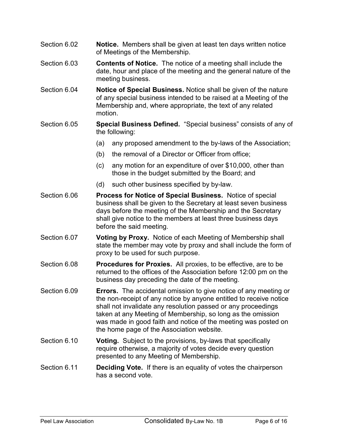- Section 6.02 **Notice.** Members shall be given at least ten days written notice of Meetings of the Membership.
- Section 6.03 **Contents of Notice.** The notice of a meeting shall include the date, hour and place of the meeting and the general nature of the meeting business.
- Section 6.04 **Notice of Special Business.** Notice shall be given of the nature of any special business intended to be raised at a Meeting of the Membership and, where appropriate, the text of any related motion.
- Section 6.05 Special Business Defined. "Special business" consists of any of the following:
	- (a) any proposed amendment to the by-laws of the Association;
	- (b) the removal of a Director or Officer from office;
	- (c) any motion for an expenditure of over \$10,000, other than those in the budget submitted by the Board; and
	- (d) such other business specified by by-law.
- Section 6.06 **Process for Notice of Special Business.** Notice of special business shall be given to the Secretary at least seven business days before the meeting of the Membership and the Secretary shall give notice to the members at least three business days before the said meeting.
- Section 6.07 Voting by Proxy. Notice of each Meeting of Membership shall state the member may vote by proxy and shall include the form of proxy to be used for such purpose.
- Section 6.08 Procedures for Proxies. All proxies, to be effective, are to be returned to the offices of the Association before 12:00 pm on the business day preceding the date of the meeting.
- Section 6.09 **Errors.** The accidental omission to give notice of any meeting or the non-receipt of any notice by anyone entitled to receive notice shall not invalidate any resolution passed or any proceedings taken at any Meeting of Membership, so long as the omission was made in good faith and notice of the meeting was posted on the home page of the Association website.
- Section 6.10 **Voting.** Subject to the provisions, by-laws that specifically require otherwise, a majority of votes decide every question presented to any Meeting of Membership.
- Section 6.11 **Deciding Vote.** If there is an equality of votes the chairperson has a second vote.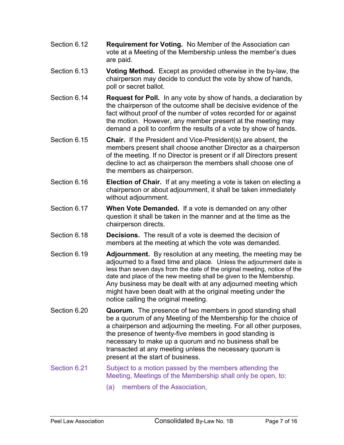- Section 6.12 **Requirement for Voting.** No Member of the Association can vote at a Meeting of the Membership unless the member's dues are paid.
- Section 6.13 Voting Method. Except as provided otherwise in the by-law, the chairperson may decide to conduct the vote by show of hands, poll or secret ballot.
- Section 6.14 **Request for Poll.** In any vote by show of hands, a declaration by the chairperson of the outcome shall be decisive evidence of the fact without proof of the number of votes recorded for or against the motion. However, any member present at the meeting may demand a poll to confirm the results of a vote by show of hands.
- Section 6.15 **Chair.** If the President and Vice-President(s) are absent, the members present shall choose another Director as a chairperson of the meeting. If no Director is present or if all Directors present decline to act as chairperson the members shall choose one of the members as chairperson.
- Section 6.16 **Election of Chair.** If at any meeting a vote is taken on electing a chairperson or about adjournment, it shall be taken immediately without adjournment.
- Section 6.17 When Vote Demanded. If a vote is demanded on any other question it shall be taken in the manner and at the time as the chairperson directs.
- Section 6.18 **Decisions.** The result of a vote is deemed the decision of members at the meeting at which the vote was demanded.
- Section 6.19 **Adjournment.** By resolution at any meeting, the meeting may be adjourned to a fixed time and place. Unless the adjournment date is less than seven days from the date of the original meeting, notice of the date and place of the new meeting shall be given to the Membership. Any business may be dealt with at any adjourned meeting which might have been dealt with at the original meeting under the notice calling the original meeting.
- Section 6.20 **Quorum.** The presence of two members in good standing shall be a quorum of any Meeting of the Membership for the choice of a chairperson and adjourning the meeting. For all other purposes, the presence of twenty-five members in good standing is necessary to make up a quorum and no business shall be transacted at any meeting unless the necessary quorum is present at the start of business.
- Section 6.21 Subject to a motion passed by the members attending the Meeting, Meetings of the Membership shall only be open, to:
	- (a) members of the Association,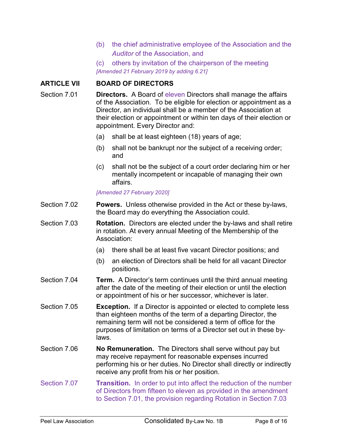- (b) the chief administrative employee of the Association and the Auditor of the Association, and
- (c) others by invitation of the chairperson of the meeting [Amended 21 February 2019 by adding 6.21]

#### ARTICLE VII BOARD OF DIRECTORS

- Section 7.01 **Directors.** A Board of eleven Directors shall manage the affairs of the Association. To be eligible for election or appointment as a Director, an individual shall be a member of the Association at their election or appointment or within ten days of their election or appointment. Every Director and:
	- (a) shall be at least eighteen (18) years of age;
	- (b) shall not be bankrupt nor the subject of a receiving order; and
	- (c) shall not be the subject of a court order declaring him or her mentally incompetent or incapable of managing their own affairs.

#### [Amended 27 February 2020]

- Section 7.02 Powers. Unless otherwise provided in the Act or these by-laws, the Board may do everything the Association could.
- Section 7.03 Rotation. Directors are elected under the by-laws and shall retire in rotation. At every annual Meeting of the Membership of the Association:
	- (a) there shall be at least five vacant Director positions; and
	- (b) an election of Directors shall be held for all vacant Director positions.
- Section 7.04 **Term.** A Director's term continues until the third annual meeting after the date of the meeting of their election or until the election or appointment of his or her successor, whichever is later.
- Section 7.05 **Exception.** If a Director is appointed or elected to complete less than eighteen months of the term of a departing Director, the remaining term will not be considered a term of office for the purposes of limitation on terms of a Director set out in these bylaws.
- Section 7.06 **No Remuneration.** The Directors shall serve without pay but may receive repayment for reasonable expenses incurred performing his or her duties. No Director shall directly or indirectly receive any profit from his or her position.
- Section 7.07 **Transition.** In order to put into affect the reduction of the number of Directors from fifteen to eleven as provided in the amendment to Section 7.01, the provision regarding Rotation in Section 7.03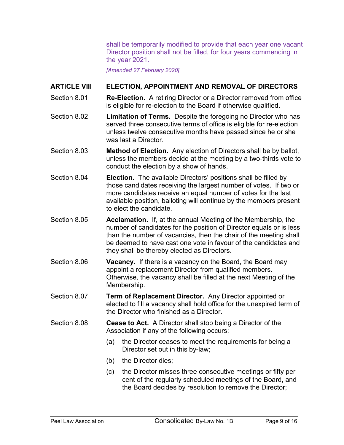shall be temporarily modified to provide that each year one vacant Director position shall not be filled, for four years commencing in the year 2021.

[Amended 27 February 2020]

#### ARTICLE VIII ELECTION, APPOINTMENT AND REMOVAL OF DIRECTORS

- Section 8.01 **Re-Election.** A retiring Director or a Director removed from office is eligible for re-election to the Board if otherwise qualified.
- Section 8.02 **Limitation of Terms.** Despite the foregoing no Director who has served three consecutive terms of office is eligible for re-election unless twelve consecutive months have passed since he or she was last a Director
- Section 8.03 Method of Election. Any election of Directors shall be by ballot, unless the members decide at the meeting by a two-thirds vote to conduct the election by a show of hands.
- Section 8.04 **Election.** The available Directors' positions shall be filled by those candidates receiving the largest number of votes. If two or more candidates receive an equal number of votes for the last available position, balloting will continue by the members present to elect the candidate.
- Section 8.05 Acclamation. If, at the annual Meeting of the Membership, the number of candidates for the position of Director equals or is less than the number of vacancies, then the chair of the meeting shall be deemed to have cast one vote in favour of the candidates and they shall be thereby elected as Directors.
- Section 8.06 **Vacancy.** If there is a vacancy on the Board, the Board may appoint a replacement Director from qualified members. Otherwise, the vacancy shall be filled at the next Meeting of the Membership.
- Section 8.07 **Term of Replacement Director.** Any Director appointed or elected to fill a vacancy shall hold office for the unexpired term of the Director who finished as a Director.
- Section 8.08 **Cease to Act.** A Director shall stop being a Director of the Association if any of the following occurs:
	- (a) the Director ceases to meet the requirements for being a Director set out in this by-law;
	- (b) the Director dies;
	- (c) the Director misses three consecutive meetings or fifty per cent of the regularly scheduled meetings of the Board, and the Board decides by resolution to remove the Director;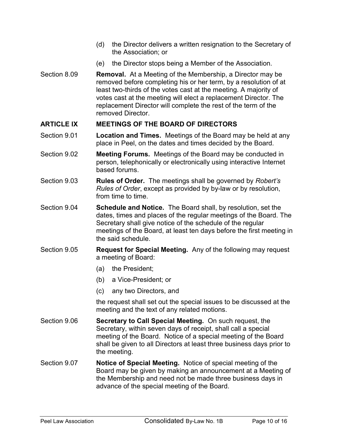- (d) the Director delivers a written resignation to the Secretary of the Association; or
- (e) the Director stops being a Member of the Association.
- Section 8.09 **Removal.** At a Meeting of the Membership, a Director may be removed before completing his or her term, by a resolution of at least two-thirds of the votes cast at the meeting. A majority of votes cast at the meeting will elect a replacement Director. The replacement Director will complete the rest of the term of the removed Director.

#### ARTICLE IX MEETINGS OF THE BOARD OF DIRECTORS

- Section 9.01 Location and Times. Meetings of the Board may be held at any place in Peel, on the dates and times decided by the Board.
- Section 9.02 Meeting Forums. Meetings of the Board may be conducted in person, telephonically or electronically using interactive Internet based forums.
- Section 9.03 Rules of Order. The meetings shall be governed by Robert's Rules of Order, except as provided by by-law or by resolution, from time to time.
- Section 9.04 Schedule and Notice. The Board shall, by resolution, set the dates, times and places of the regular meetings of the Board. The Secretary shall give notice of the schedule of the regular meetings of the Board, at least ten days before the first meeting in the said schedule.
- Section 9.05 Request for Special Meeting. Any of the following may request a meeting of Board:
	- (a) the President;
	- (b) a Vice-President; or
	- (c) any two Directors, and

the request shall set out the special issues to be discussed at the meeting and the text of any related motions.

- Section 9.06 Secretary to Call Special Meeting. On such request, the Secretary, within seven days of receipt, shall call a special meeting of the Board. Notice of a special meeting of the Board shall be given to all Directors at least three business days prior to the meeting.
- Section 9.07 Notice of Special Meeting. Notice of special meeting of the Board may be given by making an announcement at a Meeting of the Membership and need not be made three business days in advance of the special meeting of the Board.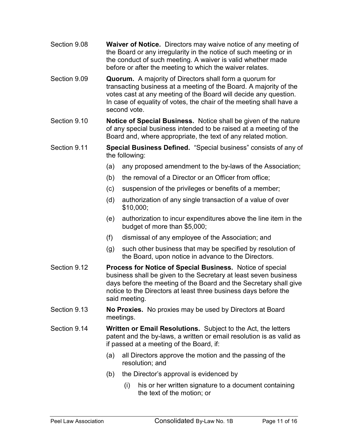- Section 9.08 Waiver of Notice. Directors may waive notice of any meeting of the Board or any irregularity in the notice of such meeting or in the conduct of such meeting. A waiver is valid whether made before or after the meeting to which the waiver relates.
- Section 9.09 Quorum. A majority of Directors shall form a quorum for transacting business at a meeting of the Board. A majority of the votes cast at any meeting of the Board will decide any question. In case of equality of votes, the chair of the meeting shall have a second vote.
- Section 9.10 **Notice of Special Business.** Notice shall be given of the nature of any special business intended to be raised at a meeting of the Board and, where appropriate, the text of any related motion.
- Section 9.11 **Special Business Defined.** "Special business" consists of any of the following:
	- (a) any proposed amendment to the by-laws of the Association;
	- (b) the removal of a Director or an Officer from office;
	- (c) suspension of the privileges or benefits of a member;
	- (d) authorization of any single transaction of a value of over \$10,000;
	- (e) authorization to incur expenditures above the line item in the budget of more than \$5,000;
	- (f) dismissal of any employee of the Association; and
	- (g) such other business that may be specified by resolution of the Board, upon notice in advance to the Directors.
- Section 9.12 **Process for Notice of Special Business.** Notice of special business shall be given to the Secretary at least seven business days before the meeting of the Board and the Secretary shall give notice to the Directors at least three business days before the said meeting.
- Section 9.13 **No Proxies.** No proxies may be used by Directors at Board meetings.
- Section 9.14 Written or Email Resolutions. Subject to the Act, the letters patent and the by-laws, a written or email resolution is as valid as if passed at a meeting of the Board, if:
	- (a) all Directors approve the motion and the passing of the resolution; and
	- (b) the Director's approval is evidenced by
		- (i) his or her written signature to a document containing the text of the motion; or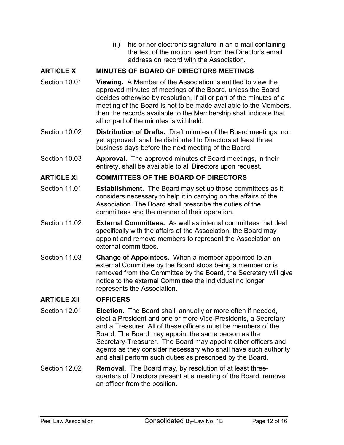(ii) his or her electronic signature in an e-mail containing the text of the motion, sent from the Director's email address on record with the Association.

### ARTICLE X MINUTES OF BOARD OF DIRECTORS MEETINGS

- Section 10.01 **Viewing.** A Member of the Association is entitled to view the approved minutes of meetings of the Board, unless the Board decides otherwise by resolution. If all or part of the minutes of a meeting of the Board is not to be made available to the Members, then the records available to the Membership shall indicate that all or part of the minutes is withheld.
- Section 10.02 **Distribution of Drafts.** Draft minutes of the Board meetings, not yet approved, shall be distributed to Directors at least three business days before the next meeting of the Board.
- Section 10.03 Approval. The approved minutes of Board meetings, in their entirety, shall be available to all Directors upon request.

#### ARTICLE XI COMMITTEES OF THE BOARD OF DIRECTORS

- Section 11.01 **Establishment.** The Board may set up those committees as it considers necessary to help it in carrying on the affairs of the Association. The Board shall prescribe the duties of the committees and the manner of their operation.
- Section 11.02 External Committees. As well as internal committees that deal specifically with the affairs of the Association, the Board may appoint and remove members to represent the Association on external committees.
- Section 11.03 Change of Appointees. When a member appointed to an external Committee by the Board stops being a member or is removed from the Committee by the Board, the Secretary will give notice to the external Committee the individual no longer represents the Association.

## ARTICLE XII OFFICERS

- Section 12.01 **Election.** The Board shall, annually or more often if needed, elect a President and one or more Vice-Presidents, a Secretary and a Treasurer. All of these officers must be members of the Board. The Board may appoint the same person as the Secretary-Treasurer. The Board may appoint other officers and agents as they consider necessary who shall have such authority and shall perform such duties as prescribed by the Board.
- Section 12.02 Removal. The Board may, by resolution of at least threequarters of Directors present at a meeting of the Board, remove an officer from the position.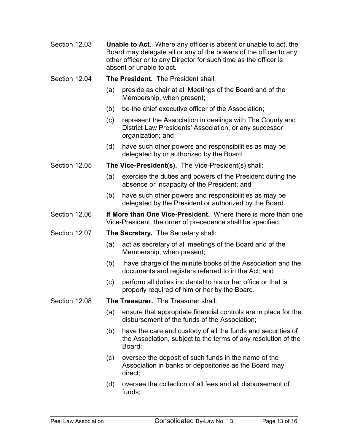- Section 12.03 **Unable to Act.** Where any officer is absent or unable to act, the Board may delegate all or any of the powers of the officer to any other officer or to any Director for such time as the officer is absent or unable to act.
- Section 12.04 The President. The President shall:
	- (a) preside as chair at all Meetings of the Board and of the Membership, when present;
	- (b) be the chief executive officer of the Association;
	- (c) represent the Association in dealings with The County and District Law Presidents' Association, or any successor organization; and
	- (d) have such other powers and responsibilities as may be delegated by or authorized by the Board.
- Section 12.05 The Vice-President(s). The Vice-President(s) shall:
	- (a) exercise the duties and powers of the President during the absence or incapacity of the President; and
	- (b) have such other powers and responsibilities as may be delegated by the President or authorized by the Board.
- Section 12.06 **If More than One Vice-President.** Where there is more than one Vice-President, the order of precedence shall be specified.
- Section 12.07 The Secretary. The Secretary shall:
	- (a) act as secretary of all meetings of the Board and of the Membership, when present;
	- (b) have charge of the minute books of the Association and the documents and registers referred to in the Act; and
	- (c) perform all duties incidental to his or her office or that is properly required of him or her by the Board.
- Section 12.08 The Treasurer. The Treasurer shall:
	- (a) ensure that appropriate financial controls are in place for the disbursement of the funds of the Association;
	- (b) have the care and custody of all the funds and securities of the Association, subject to the terms of any resolution of the Board;
	- (c) oversee the deposit of such funds in the name of the Association in banks or depositories as the Board may direct;
	- (d) oversee the collection of all fees and all disbursement of funds;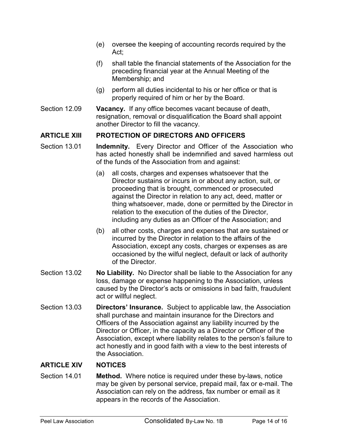- (e) oversee the keeping of accounting records required by the Act;
- (f) shall table the financial statements of the Association for the preceding financial year at the Annual Meeting of the Membership; and
- (g) perform all duties incidental to his or her office or that is properly required of him or her by the Board.
- Section 12.09 Vacancy. If any office becomes vacant because of death, resignation, removal or disqualification the Board shall appoint another Director to fill the vacancy.

#### ARTICLE XIII PROTECTION OF DIRECTORS AND OFFICERS

- Section 13.01 **Indemnity.** Every Director and Officer of the Association who has acted honestly shall be indemnified and saved harmless out of the funds of the Association from and against:
	- (a) all costs, charges and expenses whatsoever that the Director sustains or incurs in or about any action, suit, or proceeding that is brought, commenced or prosecuted against the Director in relation to any act, deed, matter or thing whatsoever, made, done or permitted by the Director in relation to the execution of the duties of the Director, including any duties as an Officer of the Association; and
	- (b) all other costs, charges and expenses that are sustained or incurred by the Director in relation to the affairs of the Association, except any costs, charges or expenses as are occasioned by the wilful neglect, default or lack of authority of the Director.
- Section 13.02 No Liability. No Director shall be liable to the Association for any loss, damage or expense happening to the Association, unless caused by the Director's acts or omissions in bad faith, fraudulent act or willful neglect.
- Section 13.03 Directors' Insurance. Subject to applicable law, the Association shall purchase and maintain insurance for the Directors and Officers of the Association against any liability incurred by the Director or Officer, in the capacity as a Director or Officer of the Association, except where liability relates to the person's failure to act honestly and in good faith with a view to the best interests of the Association.

#### ARTICLE XIV NOTICES

Section 14.01 Method. Where notice is required under these by-laws, notice may be given by personal service, prepaid mail, fax or e-mail. The Association can rely on the address, fax number or email as it appears in the records of the Association.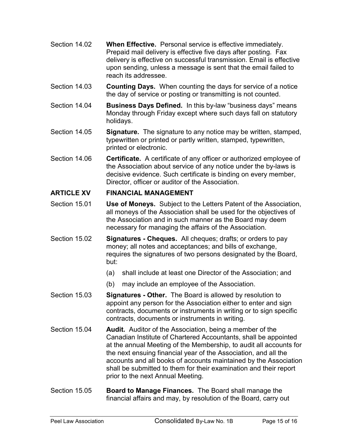- Section 14.02 When Effective. Personal service is effective immediately. Prepaid mail delivery is effective five days after posting. Fax delivery is effective on successful transmission. Email is effective upon sending, unless a message is sent that the email failed to reach its addressee.
- Section 14.03 Counting Days. When counting the days for service of a notice the day of service or posting or transmitting is not counted.
- Section 14.04 **Business Days Defined.** In this by-law "business days" means Monday through Friday except where such days fall on statutory holidays.
- Section 14.05 **Signature.** The signature to any notice may be written, stamped, typewritten or printed or partly written, stamped, typewritten, printed or electronic.
- Section 14.06 **Certificate.** A certificate of any officer or authorized employee of the Association about service of any notice under the by-laws is decisive evidence. Such certificate is binding on every member, Director, officer or auditor of the Association.

## ARTICLE XV FINANCIAL MANAGEMENT

- Section 15.01 **Use of Moneys.** Subject to the Letters Patent of the Association, all moneys of the Association shall be used for the objectives of the Association and in such manner as the Board may deem necessary for managing the affairs of the Association.
- Section 15.02 **Signatures Cheques.** All cheques; drafts; or orders to pay money; all notes and acceptances; and bills of exchange, requires the signatures of two persons designated by the Board, but:
	- (a) shall include at least one Director of the Association; and
	- (b) may include an employee of the Association.
- Section 15.03 Signatures Other. The Board is allowed by resolution to appoint any person for the Association either to enter and sign contracts, documents or instruments in writing or to sign specific contracts, documents or instruments in writing.
- Section 15.04 **Audit.** Auditor of the Association, being a member of the Canadian Institute of Chartered Accountants, shall be appointed at the annual Meeting of the Membership, to audit all accounts for the next ensuing financial year of the Association, and all the accounts and all books of accounts maintained by the Association shall be submitted to them for their examination and their report prior to the next Annual Meeting.
- Section 15.05 Board to Manage Finances. The Board shall manage the financial affairs and may, by resolution of the Board, carry out